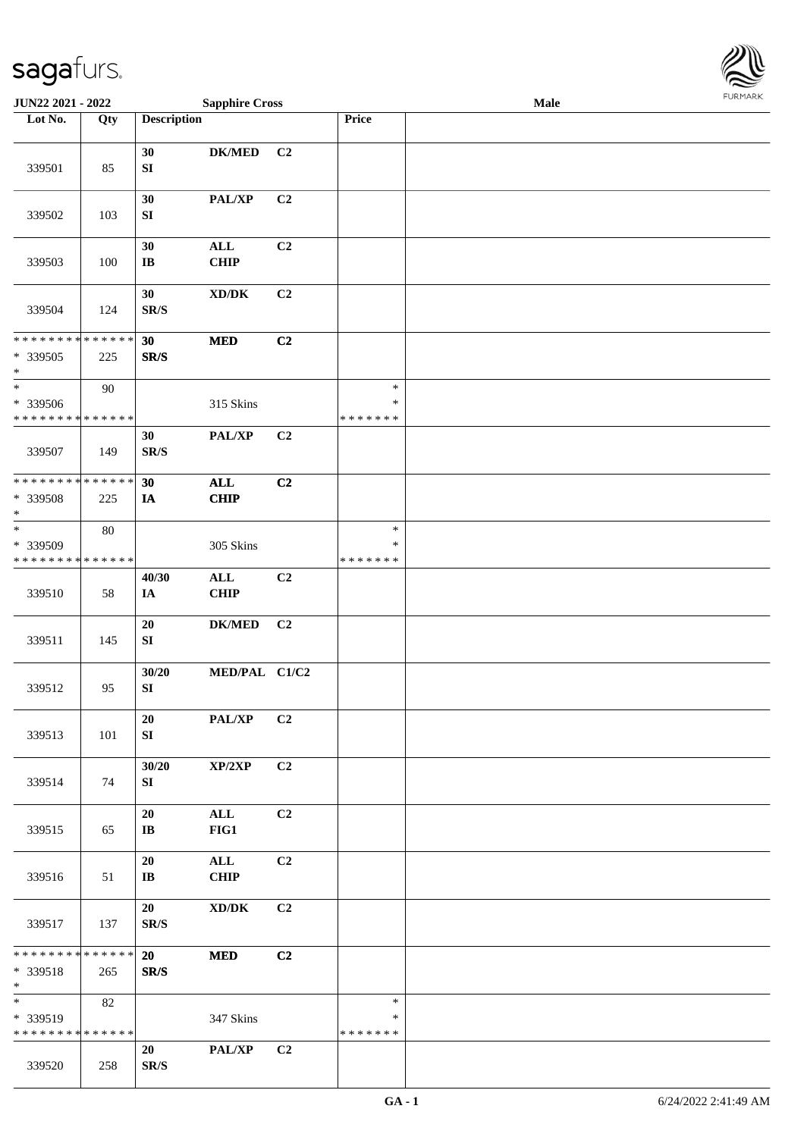

| <b>JUN22 2021 - 2022</b>                                      |                    |                              | <b>Sapphire Cross</b>               |                |                                   | Male |  |
|---------------------------------------------------------------|--------------------|------------------------------|-------------------------------------|----------------|-----------------------------------|------|--|
| Lot No.                                                       | Qty                | <b>Description</b>           |                                     |                | <b>Price</b>                      |      |  |
| 339501                                                        | 85                 | 30<br>${\bf S}{\bf I}$       | <b>DK/MED</b>                       | C <sub>2</sub> |                                   |      |  |
| 339502                                                        | 103                | 30<br>${\bf S}{\bf I}$       | PAL/XP                              | C2             |                                   |      |  |
| 339503                                                        | 100                | 30<br>IB                     | $\mathbf{ALL}$<br><b>CHIP</b>       | C2             |                                   |      |  |
| 339504                                                        | 124                | 30<br>SR/S                   | $\bold{X}\bold{D}/\bold{D}\bold{K}$ | C2             |                                   |      |  |
| * * * * * * * *<br>* 339505<br>$\ast$                         | * * * * * *<br>225 | 30<br>SR/S                   | <b>MED</b>                          | C2             |                                   |      |  |
| $\ast$<br>* 339506<br>* * * * * * * * * * * * * *             | 90                 |                              | 315 Skins                           |                | $\ast$<br>$\ast$<br>* * * * * * * |      |  |
| 339507                                                        | 149                | 30<br>SR/S                   | PAL/XP                              | C2             |                                   |      |  |
| * * * * * * * * * * * * * *<br>* 339508<br>$\ast$             | 225                | 30<br>IA                     | $\mathbf{ALL}$<br><b>CHIP</b>       | C2             |                                   |      |  |
| $_{*}$<br>* 339509<br>* * * * * * * *                         | 80<br>* * * * * *  |                              | 305 Skins                           |                | $\ast$<br>$\ast$<br>* * * * * * * |      |  |
| 339510                                                        | 58                 | 40/30<br>IA                  | $\mathbf{ALL}$<br><b>CHIP</b>       | C2             |                                   |      |  |
| 339511                                                        | 145                | 20<br>${\bf S}{\bf I}$       | $\mathbf{DK}/\mathbf{MED}$          | C <sub>2</sub> |                                   |      |  |
| 339512                                                        | 95                 | 30/20<br>${\bf SI}$          | MED/PAL C1/C2                       |                |                                   |      |  |
| 339513                                                        | 101                | 20<br>SI                     | <b>PAL/XP</b>                       | C2             |                                   |      |  |
| 339514                                                        | 74                 | 30/20<br>SI                  | XP/2XP                              | C2             |                                   |      |  |
| 339515                                                        | 65                 | 20<br>IB                     | $\mathbf{ALL}$<br>FIG1              | C2             |                                   |      |  |
| 339516                                                        | 51                 | 20<br>$\mathbf{I}\mathbf{B}$ | $\mathbf{ALL}$<br><b>CHIP</b>       | C2             |                                   |      |  |
| 339517                                                        | 137                | 20<br>SR/S                   | $\bold{X}\bold{D}/\bold{D}\bold{K}$ | C2             |                                   |      |  |
| * * * * * * * * * * * * * * <mark>*</mark><br>* 339518<br>$*$ | 265                | 20<br>SR/S                   | <b>MED</b>                          | C2             |                                   |      |  |
| $*$<br>* 339519<br>* * * * * * * * * * * * * *                | 82                 |                              | 347 Skins                           |                | $\ast$<br>∗<br>* * * * * * *      |      |  |
| 339520                                                        | 258                | 20<br>SR/S                   | <b>PAL/XP</b>                       | C2             |                                   |      |  |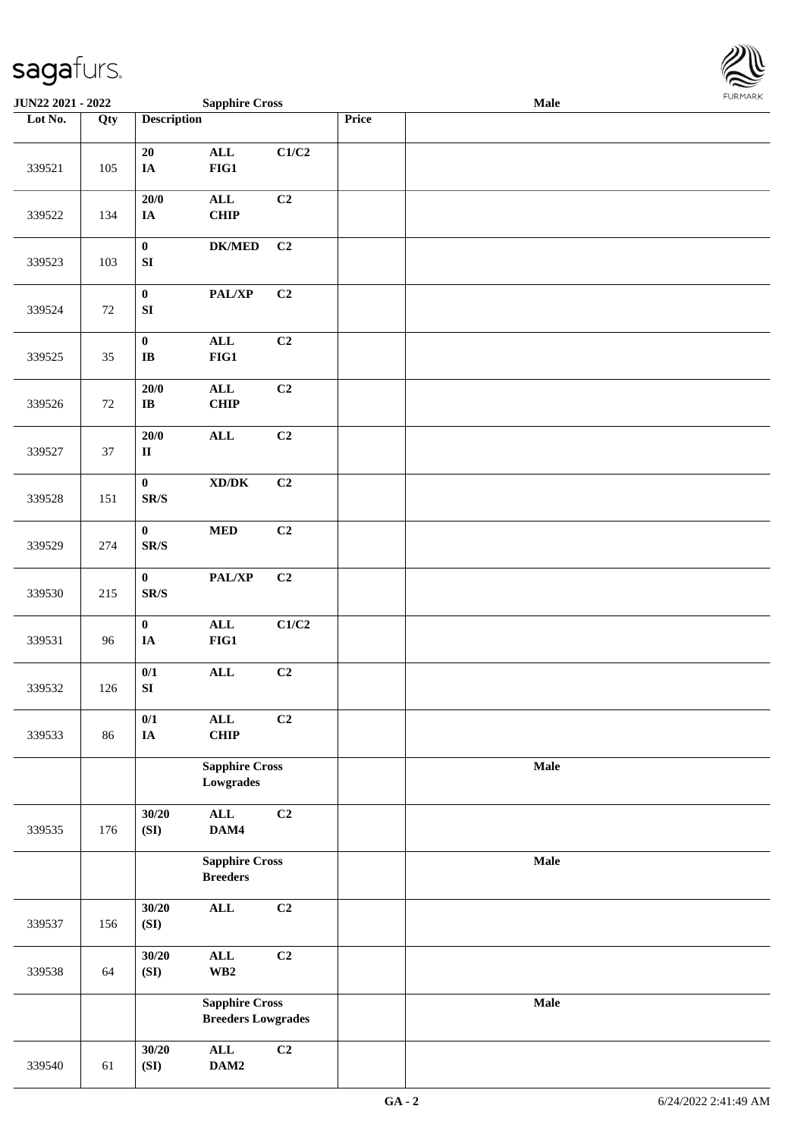

| <b>JUN22 2021 - 2022</b> |     |                                                                        | <b>Sapphire Cross</b>                     |       |       | Male |  |
|--------------------------|-----|------------------------------------------------------------------------|-------------------------------------------|-------|-------|------|--|
| Lot No.                  | Qty | <b>Description</b>                                                     |                                           |       | Price |      |  |
| 339521                   | 105 | 20<br>$\mathbf{IA}$                                                    | $\mathbf{ALL}$<br>$FIG1$                  | C1/C2 |       |      |  |
| 339522                   | 134 | 20/0<br>$I\!\!A$                                                       | $\mathbf{ALL}$<br>CHIP                    | C2    |       |      |  |
| 339523                   | 103 | $\pmb{0}$<br>${\bf S}{\bf I}$                                          | $DK/MED$                                  | C2    |       |      |  |
| 339524                   | 72  | $\pmb{0}$<br>${\bf S}{\bf I}$                                          | $\mathbf{PAL}/\mathbf{XP}$                | C2    |       |      |  |
| 339525                   | 35  | $\mathbf{0}$<br>IB                                                     | $\mathbf{ALL}$<br>$FIG1$                  | C2    |       |      |  |
| 339526                   | 72  | $20/0$<br>$\bf{IB}$                                                    | $\mathbf{ALL}$<br>CHIP                    | C2    |       |      |  |
| 339527                   | 37  | $20/0$<br>$\mathbf{I}\mathbf{I}$                                       | $\mathbf{ALL}$                            | C2    |       |      |  |
| 339528                   | 151 | $\pmb{0}$<br>$\mathbf{SR}/\mathbf{S}$                                  | $\boldsymbol{\text{XD} / \text{DK}}$      | C2    |       |      |  |
| 339529                   | 274 | $\pmb{0}$<br>$\ensuremath{\textup{SR}}\xspace/\ensuremath{\textup{S}}$ | $\bf MED$                                 | C2    |       |      |  |
| 339530                   | 215 | $\bf{0}$<br>$\mbox{{\sc S}\,R/S}$                                      | $\mathbf{PAL}/\mathbf{XP}$                | C2    |       |      |  |
| 339531                   | 96  | $\pmb{0}$<br>$I\!\!A$                                                  | $\mathbf{ALL}$<br>$FIG1$                  | C1/C2 |       |      |  |
| 339532                   | 126 | 0/1<br>SI                                                              | $\mathbf{ALL}$                            | C2    |       |      |  |
| 339533                   | 86  | 0/1<br>$\mathbf{IA}$                                                   | $\mathbf{ALL}$<br><b>CHIP</b>             | C2    |       |      |  |
|                          |     | <b>Sapphire Cross</b><br>Lowgrades                                     |                                           |       | Male  |      |  |
| 339535                   | 176 | 30/20<br>(SI)                                                          | $\mathbf{ALL}$<br>DAM4                    | C2    |       |      |  |
|                          |     | <b>Sapphire Cross</b><br><b>Breeders</b>                               |                                           |       | Male  |      |  |
| 339537                   | 156 | 30/20<br>(SI)                                                          | $\mathbf{ALL}$                            | C2    |       |      |  |
| 339538                   | 64  | 30/20<br>(SI)                                                          | $\mathbf{ALL}$<br>$\mathbf{W}\mathbf{B2}$ | C2    |       |      |  |
|                          |     | <b>Sapphire Cross</b><br><b>Breeders Lowgrades</b>                     |                                           |       | Male  |      |  |
| 339540                   | 61  | 30/20<br>(SI)                                                          | $\mathbf{ALL}$<br>DAM2                    | C2    |       |      |  |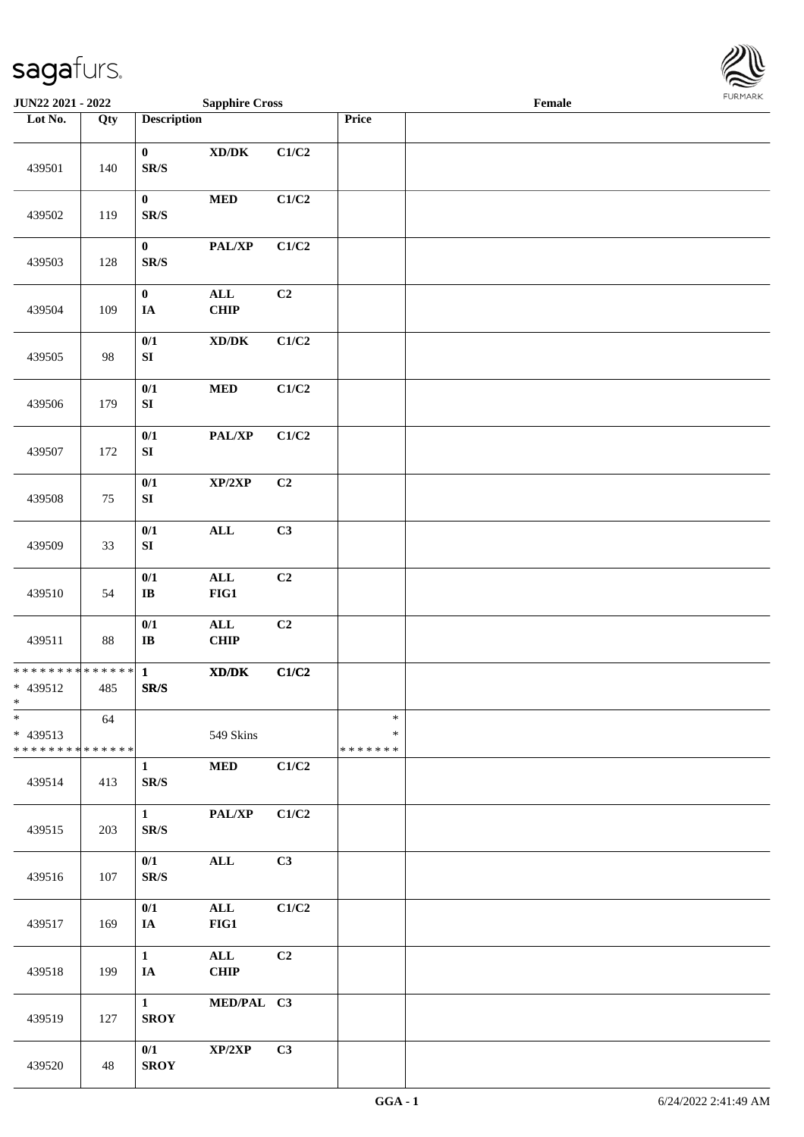

| JUN22 2021 - 2022                                             |     |                                              | <b>Sapphire Cross</b>                                                                                |                |                              | Female |  |
|---------------------------------------------------------------|-----|----------------------------------------------|------------------------------------------------------------------------------------------------------|----------------|------------------------------|--------|--|
| Lot No.                                                       | Qty | <b>Description</b>                           |                                                                                                      |                | Price                        |        |  |
| 439501                                                        | 140 | $\bf{0}$<br>$\mathbf{SR}/\mathbf{S}$         | $\bold{X}\bold{D}/\bold{D}\bold{K}$                                                                  | C1/C2          |                              |        |  |
| 439502                                                        | 119 | $\pmb{0}$<br>$\mathbf{SR}/\mathbf{S}$        | <b>MED</b>                                                                                           | C1/C2          |                              |        |  |
| 439503                                                        | 128 | $\boldsymbol{0}$<br>$\mathbf{SR}/\mathbf{S}$ | PAL/XP                                                                                               | C1/C2          |                              |        |  |
| 439504                                                        | 109 | $\pmb{0}$<br>IA                              | $\mathbf{ALL}$<br><b>CHIP</b>                                                                        | C2             |                              |        |  |
| 439505                                                        | 98  | $0/1$<br>${\bf SI}$                          | $\bold{X}\bold{D}/\bold{D}\bold{K}$                                                                  | C1/C2          |                              |        |  |
| 439506                                                        | 179 | $0/1$<br>${\bf SI}$                          | $\bf MED$                                                                                            | C1/C2          |                              |        |  |
| 439507                                                        | 172 | $0/1$<br>${\bf SI}$                          | PAL/XP                                                                                               | C1/C2          |                              |        |  |
| 439508                                                        | 75  | $0/1$<br>${\bf SI}$                          | XP/2XP                                                                                               | C2             |                              |        |  |
| 439509                                                        | 33  | $0/1$<br>${\bf SI}$                          | $\mathbf{ALL}$                                                                                       | C3             |                              |        |  |
| 439510                                                        | 54  | $0/1$<br>$\mathbf{I}\mathbf{B}$              | $\mathbf{ALL}$<br>FIG1                                                                               | C2             |                              |        |  |
| 439511                                                        | 88  | $0/1$<br>$\bf I\bf B$                        | $\mathbf{ALL}$<br><b>CHIP</b>                                                                        | C2             |                              |        |  |
| * * * * * * * * <mark>* * * * * * *</mark><br>* 439512<br>$*$ | 485 | $\mathbf{1}$<br>${\bf SR/S}$                 | $\boldsymbol{\text{X}}\boldsymbol{\text{D}}\boldsymbol{/}\boldsymbol{\text{D}}\boldsymbol{\text{K}}$ | C1/C2          |                              |        |  |
| $\ast$<br>* 439513<br>* * * * * * * * * * * * * *             | 64  |                                              | 549 Skins                                                                                            |                | $\ast$<br>∗<br>* * * * * * * |        |  |
| 439514                                                        | 413 | $\mathbf{1}$<br>SR/S                         | $\bf MED$                                                                                            | C1/C2          |                              |        |  |
| 439515                                                        | 203 | $\mathbf{1}$<br>SR/S                         | PAL/XP                                                                                               | C1/C2          |                              |        |  |
| 439516                                                        | 107 | 0/1<br>SR/S                                  | $\mathbf{ALL}$                                                                                       | C3             |                              |        |  |
| 439517                                                        | 169 | 0/1<br>IA                                    | $\mathbf{ALL}$<br>FIG1                                                                               | C1/C2          |                              |        |  |
| 439518                                                        | 199 | $\mathbf{1}$<br>IA                           | $\mathbf{ALL}$<br><b>CHIP</b>                                                                        | C <sub>2</sub> |                              |        |  |
| 439519                                                        | 127 | $\mathbf{1}$<br><b>SROY</b>                  | MED/PAL C3                                                                                           |                |                              |        |  |
| 439520                                                        | 48  | 0/1<br><b>SROY</b>                           | XP/2XP                                                                                               | C3             |                              |        |  |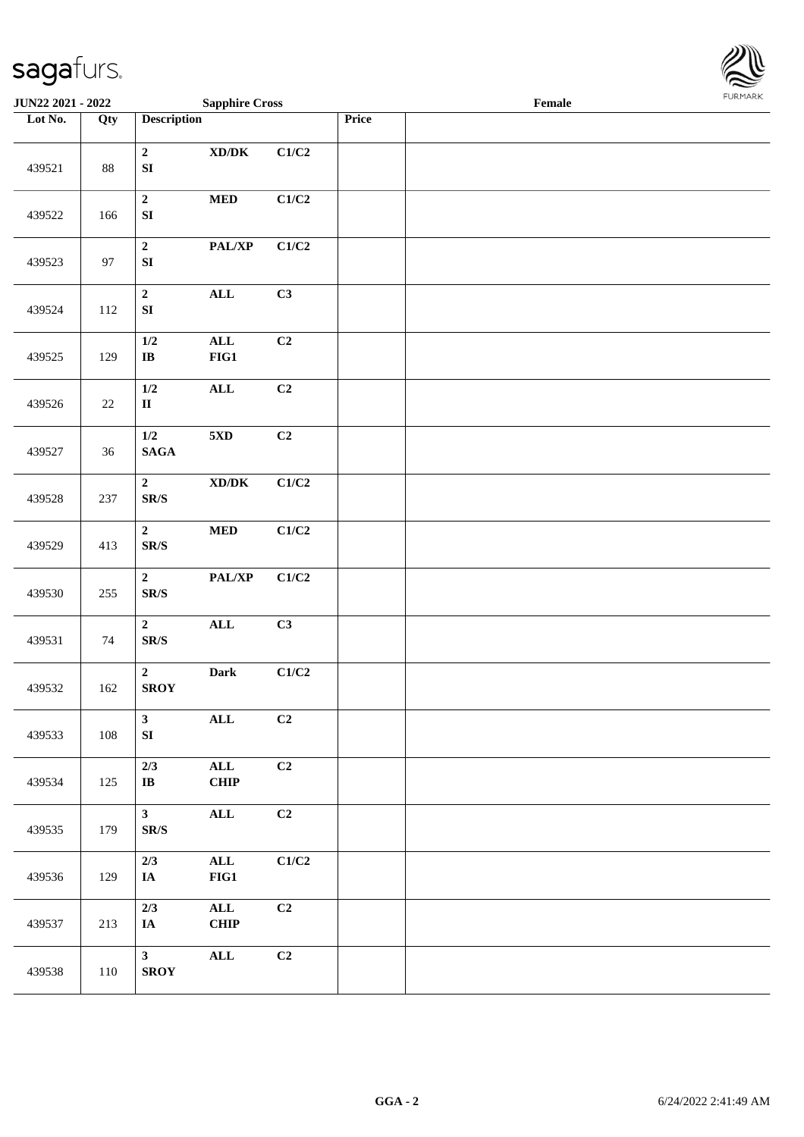

| <b>JUN22 2021 - 2022</b> |        |                                                     | <b>Sapphire Cross</b>                                        |       |       | Female |  |
|--------------------------|--------|-----------------------------------------------------|--------------------------------------------------------------|-------|-------|--------|--|
| Lot No.                  | Qty    | <b>Description</b>                                  |                                                              |       | Price |        |  |
| 439521                   | $88\,$ | $\mathbf{2}$<br>${\bf SI}$                          | $\boldsymbol{\text{XD}}\boldsymbol{/}\boldsymbol{\text{DK}}$ | C1/C2 |       |        |  |
| 439522                   | 166    | $\boldsymbol{2}$<br>${\bf SI}$                      | $\bf MED$                                                    | C1/C2 |       |        |  |
| 439523                   | 97     | $\mathbf 2$<br>${\bf S}{\bf I}$                     | PAL/XP                                                       | C1/C2 |       |        |  |
| 439524                   | 112    | $\boldsymbol{2}$<br>${\bf S}{\bf I}$                | $\mathbf{ALL}$                                               | C3    |       |        |  |
| 439525                   | 129    | 1/2<br>$\bf{IB}$                                    | $\mathbf{ALL}$<br>$FIG1$                                     | C2    |       |        |  |
| 439526                   | $22\,$ | 1/2<br>$\mathbf{I}\mathbf{I}$                       | $\mathbf{ALL}$                                               | C2    |       |        |  |
| 439527                   | 36     | 1/2<br>$\mathbf{SAGA}$                              | $5{\rm XD}$                                                  | C2    |       |        |  |
| 439528                   | 237    | $\overline{\mathbf{2}}$<br>$\mathbf{SR}/\mathbf{S}$ | $\mathbf{X}\mathbf{D}/\mathbf{D}\mathbf{K}$                  | C1/C2 |       |        |  |
| 439529                   | 413    | $\overline{\mathbf{2}}$<br>$\mathbf{SR}/\mathbf{S}$ | $\bf MED$                                                    | C1/C2 |       |        |  |
| 439530                   | 255    | $\mathbf{2}$<br>$\mbox{S}\mbox{R}/\mbox{S}$         | $\mathbf{PAL}/\mathbf{XP}$                                   | C1/C2 |       |        |  |
| 439531                   | 74     | $\mathbf{2}$<br>SR/S                                | $\mathbf{ALL}$                                               | C3    |       |        |  |
| 439532                   | 162    | $\mathbf{2}$<br><b>SROY</b>                         | Dark                                                         | C1/C2 |       |        |  |
| 439533                   | 108    | $\mathbf{3}$<br>SI                                  | $\mathbf{ALL}$                                               | C2    |       |        |  |
| 439534                   | 125    | 2/3<br>$\mathbf{I}\mathbf{B}$                       | $\mathbf{ALL}$<br><b>CHIP</b>                                | C2    |       |        |  |
| 439535                   | 179    | 3 <sup>7</sup><br>$\mathbf{SR}/\mathbf{S}$          | $\mathbf{ALL}$                                               | C2    |       |        |  |
| 439536                   | 129    | 2/3<br>IA                                           | $\mathbf{ALL}$<br>$FIG1$                                     | C1/C2 |       |        |  |
| 439537                   | 213    | 2/3<br>IA                                           | $\mathbf{ALL}$<br><b>CHIP</b>                                | C2    |       |        |  |
| 439538                   | 110    | 3 <sup>1</sup><br><b>SROY</b>                       | $\mathbf{ALL}$                                               | C2    |       |        |  |